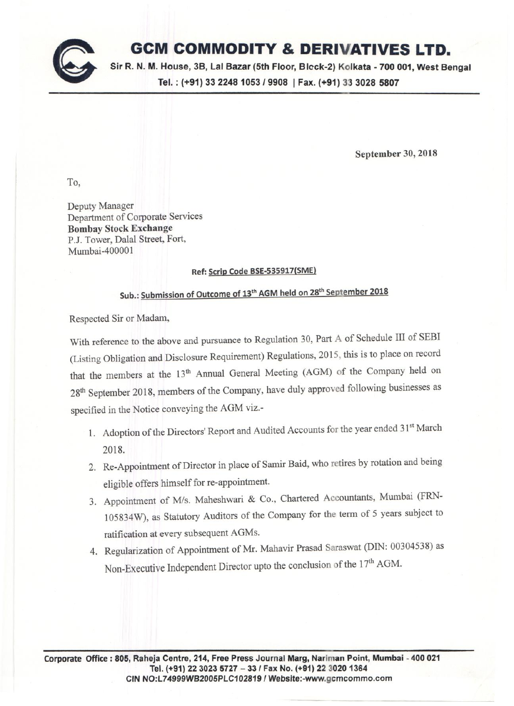

## **GCM COMMODITY & DERIVATIVES LTD.**

**Sir R. N. M. House, 3B, Lal Bazar (5th Floor, Blcck-2) Kolkata -700 001, West Bengal Tel. : (+91)** *3322481053/9908* **I Fax. (+91) 33 3028 5807**

**September 30, 2018**

To,

Deputy Manager Department of Corporate Services **Bombay Stock Exchange** PJ. Tower, Dalal Street, Fort, Mumbai-400001

## **Ref: Scrip Code BSE-535917(SME)**

## **Sub.: Submission of Outcome of 13th AGM held on 28th September 2018**

Respected Sir or Madam,

With reference to the above and pursuance to Regulation 30, Part A of Schedule **III** of SEBI (Listing Obligation and Disclosure Requirement) Regulations, 2015, this is to place on record that the members at the 13<sup>th</sup> Annual General Meeting (AGM) of the Company held on 28th September 2018, members of the Company, have duly approved following businesses as specified in the Notice conveying the AGM viz.-

- 1. Adoption of the Directors' Report and Audited Accounts for the year ended 31<sup>st</sup> March 2018.
- 2. Re-Appointment of Director in place of Samir Baid, who retires by rotation and being eligible offers himself for re-appointment.
- 3. Appointment of *Mis.* Maheshwari & Co., Chartered Accountants, Mumbai (FRN-105834W), as Statutory Auditors of the Company for the term of 5 years subject to ratification at every subsequent AGMs.
- 4. Regularization of Appointment of Mr. Mahavir Prasad Saraswat (DIN: 00304538) as Non-Executive Independent Director upto the conclusion of the 17<sup>th</sup> AGM.

**Corporate Office: 805, Raheja Centre, 214, Free Press Journal Marg, Nariman Point, Mumbai - 400 021 Tel. (+91) 22 3023 5727 -** *331* **Fax No. (+91) 22 30201364 CIN** NO:L74999WB2005PLC102819 *I* **[Website:-www.gcmcommo.com](http://Website:-www.gcmcommo.com)**